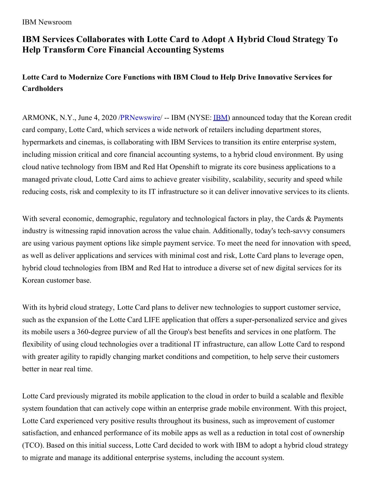IBM Newsroom

## **IBM Services Collaborates with Lotte Card to Adopt A Hybrid Cloud Strategy To Help Transform Core Financial Accounting Systems**

## **Lotte Card to Modernize Core Functions with IBM Cloud to Help Drive Innovative Services for Cardholders**

ARMONK, N.Y., June 4, 2020 [/PRNewswire](http://www.prnewswire.com/)/ -- [IBM](https://c212.net/c/link/?t=0&l=en&o=2821227-2&h=2585657182&u=http%3A%2F%2Fwww.ibm.com%2Finvestor&a=IBM) (NYSE: **IBM**) announced today that the Korean credit card company, Lotte Card, which services a wide network of retailers including department stores, hypermarkets and cinemas, is collaborating with IBM Services to transition its entire enterprise system, including mission critical and core financial accounting systems, to a hybrid cloud environment. By using cloud native technology from IBM and Red Hat Openshift to migrate its core business applications to a managed private cloud, Lotte Card aims to achieve greater visibility, scalability, security and speed while reducing costs, risk and complexity to its IT infrastructure so it can deliver innovative services to its clients.

With several economic, demographic, regulatory and technological factors in play, the Cards & Payments industry is witnessing rapid innovation across the value chain. Additionally, today's tech-savvy consumers are using various payment options like simple payment service. To meet the need for innovation with speed, as well as deliver applications and services with minimal cost and risk, Lotte Card plans to leverage open, hybrid cloud technologies from IBM and Red Hat to introduce a diverse set of new digital services for its Korean customer base.

With its hybrid cloud strategy, Lotte Card plans to deliver new technologies to support customer service, such as the expansion of the Lotte Card LIFE application that offers a super-personalized service and gives its mobile users a 360-degree purview of all the Group's best benefits and services in one platform. The flexibility of using cloud technologies over a traditional IT infrastructure, can allow Lotte Card to respond with greater agility to rapidly changing market conditions and competition, to help serve their customers better in near real time.

Lotte Card previously migrated its mobile application to the cloud in order to build a scalable and flexible system foundation that can actively cope within an enterprise grade mobile environment. With this project, Lotte Card experienced very positive results throughout its business, such as improvement of customer satisfaction, and enhanced performance of its mobile apps as well as a reduction in total cost of ownership (TCO). Based on this initial success, Lotte Card decided to work with IBM to adopt a hybrid cloud strategy to migrate and manage its additional enterprise systems, including the account system.